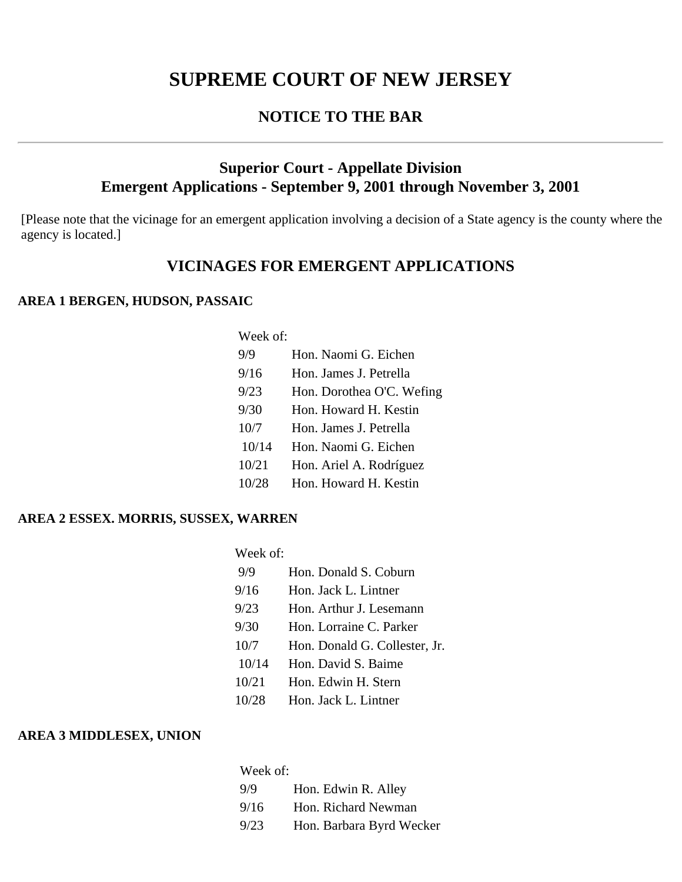# **SUPREME COURT OF NEW JERSEY**

## **NOTICE TO THE BAR**

## **Superior Court - Appellate Division Emergent Applications - September 9, 2001 through November 3, 2001**

[Please note that the vicinage for an emergent application involving a decision of a State agency is the county where the agency is located.]

## **VICINAGES FOR EMERGENT APPLICATIONS**

#### **AREA 1 BERGEN, HUDSON, PASSAIC**

Week of:

| 9/9   | Hon. Naomi G. Eichen      |
|-------|---------------------------|
| 9/16  | Hon. James J. Petrella    |
| 9/23  | Hon. Dorothea O'C. Wefing |
| 9/30  | Hon. Howard H. Kestin     |
| 10/7  | Hon. James J. Petrella    |
| 10/14 | Hon. Naomi G. Eichen      |
| 10/21 | Hon. Ariel A. Rodríguez   |
| 10/28 | Hon. Howard H. Kestin     |

#### **AREA 2 ESSEX. MORRIS, SUSSEX, WARREN**

| Week of: |                               |
|----------|-------------------------------|
| 9/9      | Hon. Donald S. Coburn         |
| 9/16     | Hon. Jack L. Lintner          |
| 9/23     | Hon. Arthur J. Lesemann       |
| 9/30     | Hon. Lorraine C. Parker       |
| 10/7     | Hon. Donald G. Collester, Jr. |
| 10/14    | Hon. David S. Baime           |
| 10/21    | Hon. Edwin H. Stern           |
| 10/28    | Hon. Jack L. Lintner          |

#### **AREA 3 MIDDLESEX, UNION**

| Week of: |                          |  |
|----------|--------------------------|--|
| 9/9      | Hon. Edwin R. Alley      |  |
| 9/16     | Hon. Richard Newman      |  |
| 9/23     | Hon. Barbara Byrd Wecker |  |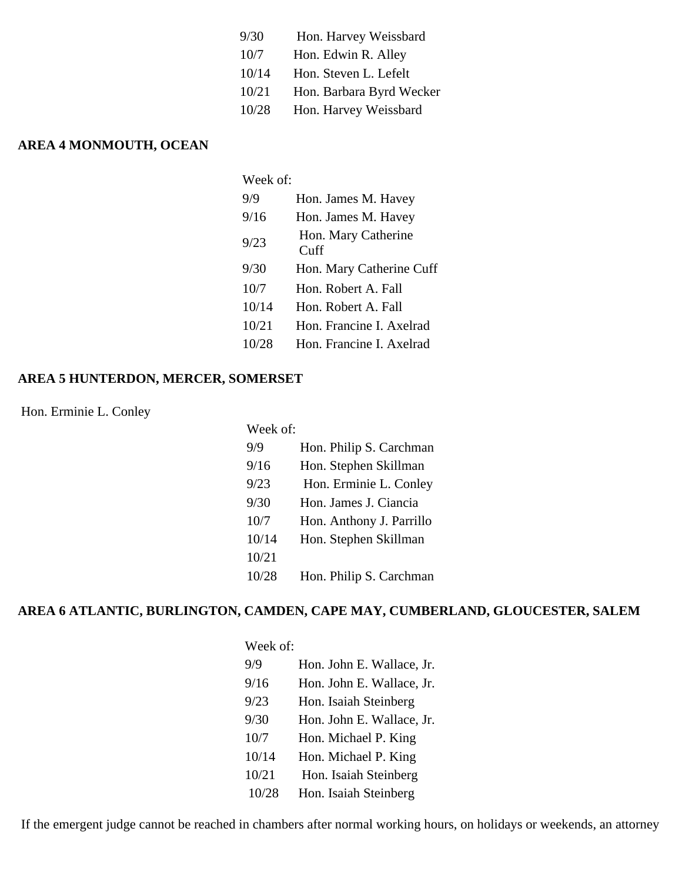| 9/30  | Hon. Harvey Weissbard    |
|-------|--------------------------|
| 10/7  | Hon. Edwin R. Alley      |
| 10/14 | Hon. Steven L. Lefelt    |
| 10/21 | Hon. Barbara Byrd Wecker |
| 10/28 | Hon. Harvey Weissbard    |

## **AREA 4 MONMOUTH, OCEAN**

| Week of: |                             |
|----------|-----------------------------|
| 9/9      | Hon. James M. Havey         |
| 9/16     | Hon. James M. Havey         |
| 9/23     | Hon. Mary Catherine<br>Cuff |
| 9/30     | Hon. Mary Catherine Cuff    |
| 10/7     | Hon. Robert A. Fall         |
| 10/14    | Hon. Robert A. Fall         |
| 10/21    | Hon. Francine I. Axelrad    |
| 10/28    | Hon. Francine I. Axelrad    |

#### **AREA 5 HUNTERDON, MERCER, SOMERSET**

Hon. Erminie L. Conley

| Week of: |                          |
|----------|--------------------------|
| 9/9      | Hon. Philip S. Carchman  |
| 9/16     | Hon. Stephen Skillman    |
| 9/23     | Hon. Erminie L. Conley   |
| 9/30     | Hon. James J. Ciancia    |
| 10/7     | Hon. Anthony J. Parrillo |
| 10/14    | Hon. Stephen Skillman    |
| 10/21    |                          |
| 10/28    | Hon. Philip S. Carchman  |

### **AREA 6 ATLANTIC, BURLINGTON, CAMDEN, CAPE MAY, CUMBERLAND, GLOUCESTER, SALEM**

| Week of: |                           |  |
|----------|---------------------------|--|
| 9/9      | Hon. John E. Wallace, Jr. |  |
| 9/16     | Hon. John E. Wallace, Jr. |  |
| 9/23     | Hon. Isaiah Steinberg     |  |
| 9/30     | Hon. John E. Wallace, Jr. |  |
| 10/7     | Hon. Michael P. King      |  |
| 10/14    | Hon. Michael P. King      |  |
| 10/21    | Hon. Isaiah Steinberg     |  |
| 10/28    | Hon. Isaiah Steinberg     |  |

If the emergent judge cannot be reached in chambers after normal working hours, on holidays or weekends, an attorney